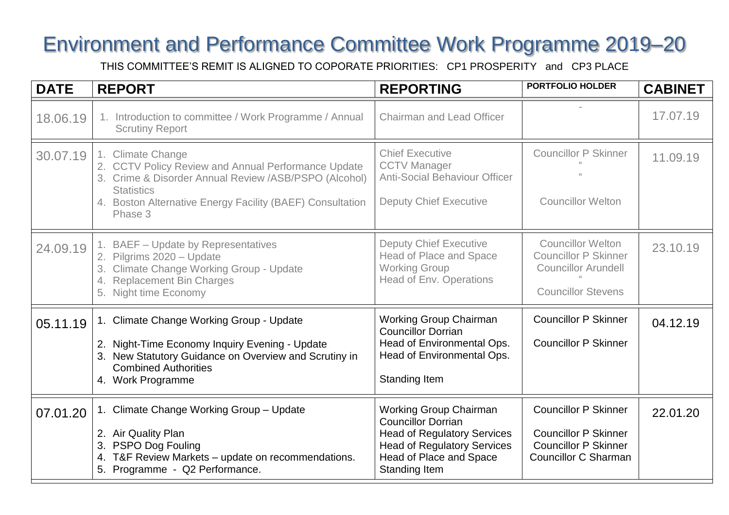## Environment and Performance Committee Work Programme 2019–20

THIS COMMITTEE'S REMIT IS ALIGNED TO COPORATE PRIORITIES: CP1 PROSPERITY and CP3 PLACE

| <b>DATE</b> | <b>REPORT</b>                                                                                                                                                                                                                  | <b>REPORTING</b>                                                                                                                                                                   | <b>PORTFOLIO HOLDER</b>                                                                                                  | <b>CABINET</b> |
|-------------|--------------------------------------------------------------------------------------------------------------------------------------------------------------------------------------------------------------------------------|------------------------------------------------------------------------------------------------------------------------------------------------------------------------------------|--------------------------------------------------------------------------------------------------------------------------|----------------|
| 18.06.19    | 1. Introduction to committee / Work Programme / Annual<br><b>Scrutiny Report</b>                                                                                                                                               | <b>Chairman and Lead Officer</b>                                                                                                                                                   |                                                                                                                          | 17.07.19       |
| 30.07.19    | 1. Climate Change<br>2. CCTV Policy Review and Annual Performance Update<br>3. Crime & Disorder Annual Review /ASB/PSPO (Alcohol)<br><b>Statistics</b><br>4. Boston Alternative Energy Facility (BAEF) Consultation<br>Phase 3 | <b>Chief Executive</b><br><b>CCTV Manager</b><br><b>Anti-Social Behaviour Officer</b><br><b>Deputy Chief Executive</b>                                                             | <b>Councillor P Skinner</b><br><b>Councillor Welton</b>                                                                  | 11.09.19       |
| 24.09.19    | 1. BAEF - Update by Representatives<br>2. Pilgrims 2020 - Update<br>3. Climate Change Working Group - Update<br>4. Replacement Bin Charges<br>5. Night time Economy                                                            | <b>Deputy Chief Executive</b><br>Head of Place and Space<br><b>Working Group</b><br><b>Head of Env. Operations</b>                                                                 | <b>Councillor Welton</b><br><b>Councillor P Skinner</b><br><b>Councillor Arundell</b><br><b>Councillor Stevens</b>       | 23.10.19       |
| 05.11.19    | 1. Climate Change Working Group - Update<br>2. Night-Time Economy Inquiry Evening - Update<br>3. New Statutory Guidance on Overview and Scrutiny in<br><b>Combined Authorities</b><br>4. Work Programme                        | <b>Working Group Chairman</b><br><b>Councillor Dorrian</b><br>Head of Environmental Ops.<br>Head of Environmental Ops.<br><b>Standing Item</b>                                     | <b>Councillor P Skinner</b><br><b>Councillor P Skinner</b>                                                               | 04.12.19       |
| 07.01.20    | 1. Climate Change Working Group - Update<br>2. Air Quality Plan<br>3. PSPO Dog Fouling<br>4. T&F Review Markets - update on recommendations.<br>5. Programme - Q2 Performance.                                                 | <b>Working Group Chairman</b><br><b>Councillor Dorrian</b><br><b>Head of Regulatory Services</b><br><b>Head of Regulatory Services</b><br>Head of Place and Space<br>Standing Item | <b>Councillor P Skinner</b><br><b>Councillor P Skinner</b><br><b>Councillor P Skinner</b><br><b>Councillor C Sharman</b> | 22.01.20       |